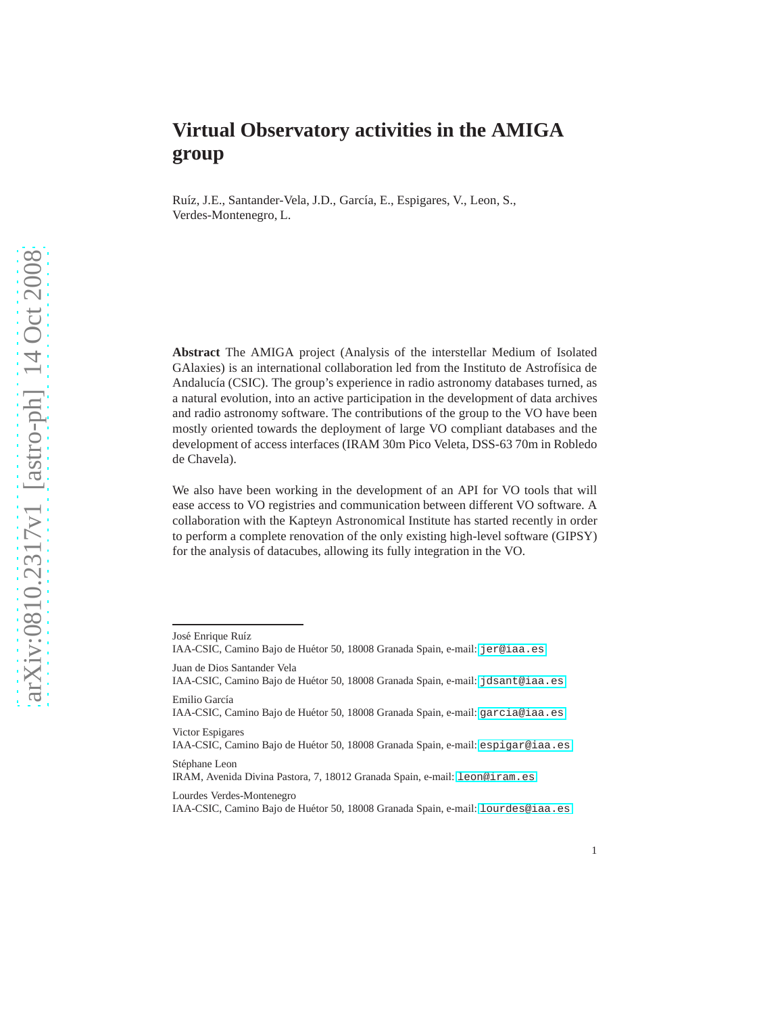# **Virtual Observatory activities in the AMIGA group**

Ruíz, J.E., Santander-Vela, J.D., García, E., Espigares, V., Leon, S., Verdes-Montenegro, L.

**Abstract** The AMIGA project (Analysis of the interstellar Medium of Isolated GAlaxies) is an international collaboration led from the Instituto de Astrofísica de Andalucía (CSIC). The group's experience in radio astronomy databases turned, as a natural evolution, into an active participation in the development of data archives and radio astronomy software. The contributions of the group to the VO have been mostly oriented towards the deployment of large VO compliant databases and the development of access interfaces (IRAM 30m Pico Veleta, DSS-63 70m in Robledo de Chavela).

We also have been working in the development of an API for VO tools that will ease access to VO registries and communication between different VO software. A collaboration with the Kapteyn Astronomical Institute has started recently in order to perform a complete renovation of the only existing high-level software (GIPSY) for the analysis of datacubes, allowing its fully integration in the VO.

Lourdes Verdes-Montenegro

José Enrique Ruíz

IAA-CSIC, Camino Bajo de Huétor 50, 18008 Granada Spain, e-mail: <jer@iaa.es>

Juan de Dios Santander Vela

IAA-CSIC, Camino Bajo de Huétor 50, 18008 Granada Spain, e-mail: <jdsant@iaa.es> Emilio García

IAA-CSIC, Camino Bajo de Huétor 50, 18008 Granada Spain, e-mail: <garcia@iaa.es> Victor Espigares

IAA-CSIC, Camino Bajo de Huétor 50, 18008 Granada Spain, e-mail: <espigar@iaa.es>

Stéphane Leon

IRAM, Avenida Divina Pastora, 7, 18012 Granada Spain, e-mail: <leon@iram.es>

IAA-CSIC, Camino Bajo de Huétor 50, 18008 Granada Spain, e-mail: <lourdes@iaa.es>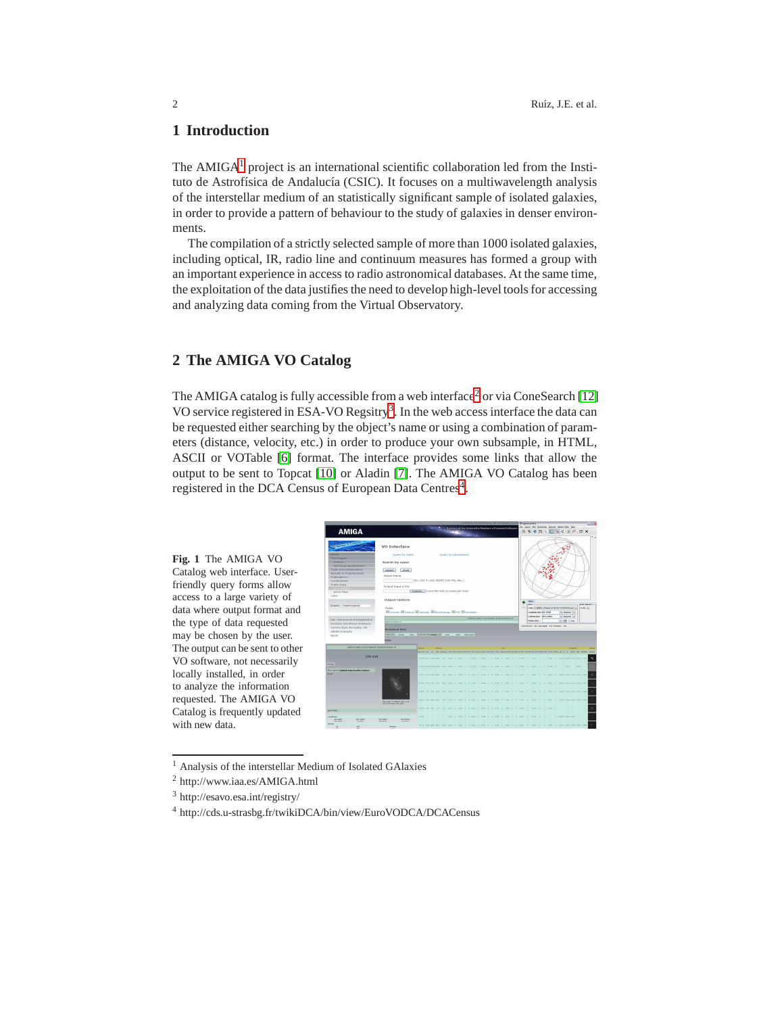# **1 Introduction**

The  $AMIGA<sup>1</sup>$  $AMIGA<sup>1</sup>$  $AMIGA<sup>1</sup>$  project is an international scientific collaboration led from the Instituto de Astrofísica de Andalucía (CSIC). It focuses on a multiwavelength analysis of the interstellar medium of an statistically significant sample of isolated galaxies, in order to provide a pattern of behaviour to the study of galaxies in denser environments.

The compilation of a strictly selected sample of more than 1000 isolated galaxies, including optical, IR, radio line and continuum measures has formed a group with an important experience in access to radio astronomical databases. At the same time, the exploitation of the data justifies the need to develop high-level tools for accessing and analyzing data coming from the Virtual Observatory.

# <span id="page-1-4"></span>**2 The AMIGA VO Catalog**

The AMIGA catalog is fully accessible from a web interface<sup>[2](#page-1-1)</sup> or via ConeSearch [\[12\]](#page-5-0) VO service registered in ESA-VO Regsitry<sup>[3](#page-1-2)</sup>. In the web access interface the data can be requested either searching by the object's name or using a combination of parameters (distance, velocity, etc.) in order to produce your own subsample, in HTML, ASCII or VOTable [\[6\]](#page-5-1) format. The interface provides some links that allow the output to be sent to Topcat [\[10\]](#page-5-2) or Aladin [\[7\]](#page-5-3). The AMIGA VO Catalog has been registered in the DCA Census of European Data Centres<sup>[4](#page-1-3)</sup>.



<sup>1</sup> Analysis of the interstellar Medium of Isolated GAlaxies

**Fig. 1** The AMIGA VO

friendly query forms allow access to a large variety of

the type of data requested may be chosen by the user.

locally installed, in order to analyze the information requested. The AMIGA VO

with new data.

<span id="page-1-0"></span><sup>2</sup> http://www.iaa.es/AMIGA.html

<span id="page-1-1"></span><sup>3</sup> http://esavo.esa.int/registry/

<span id="page-1-3"></span><span id="page-1-2"></span><sup>4</sup> http://cds.u-strasbg.fr/twikiDCA/bin/view/EuroVODCA/DCACensus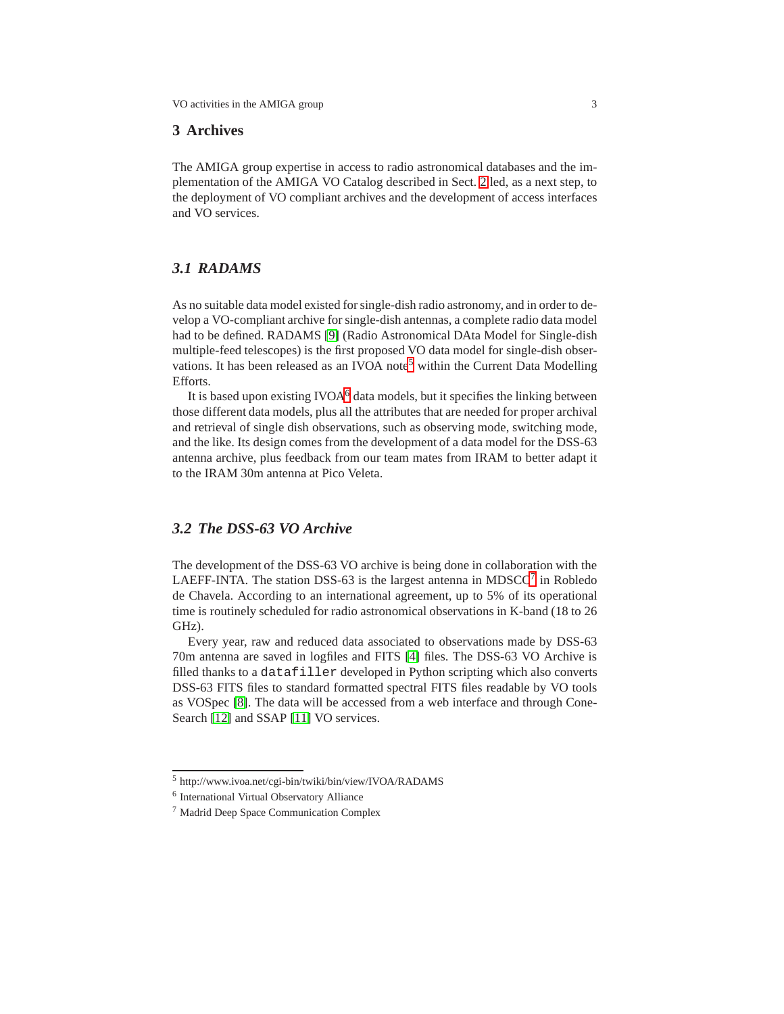### **3 Archives**

The AMIGA group expertise in access to radio astronomical databases and the implementation of the AMIGA VO Catalog described in Sect. [2](#page-1-4) led, as a next step, to the deployment of VO compliant archives and the development of access interfaces and VO services.

# *3.1 RADAMS*

As no suitable data model existed for single-dish radio astronomy, and in order to develop a VO-compliant archive for single-dish antennas, a complete radio data model had to be defined. RADAMS [\[9\]](#page-5-4) (Radio Astronomical DAta Model for Single-dish multiple-feed telescopes) is the first proposed VO data model for single-dish obser-vations. It has been released as an IVOA note<sup>[5](#page-2-0)</sup> within the Current Data Modelling Efforts.

It is based upon existing  $IVOA<sup>6</sup>$  $IVOA<sup>6</sup>$  $IVOA<sup>6</sup>$  data models, but it specifies the linking between those different data models, plus all the attributes that are needed for proper archival and retrieval of single dish observations, such as observing mode, switching mode, and the like. Its design comes from the development of a data model for the DSS-63 antenna archive, plus feedback from our team mates from IRAM to better adapt it to the IRAM 30m antenna at Pico Veleta.

### *3.2 The DSS-63 VO Archive*

The development of the DSS-63 VO archive is being done in collaboration with the LAEFF-INTA. The station DSS-63 is the largest antenna in MDSCC<sup>[7](#page-2-2)</sup> in Robledo de Chavela. According to an international agreement, up to 5% of its operational time is routinely scheduled for radio astronomical observations in K-band (18 to 26 GHz).

Every year, raw and reduced data associated to observations made by DSS-63 70m antenna are saved in logfiles and FITS [\[4\]](#page-5-5) files. The DSS-63 VO Archive is filled thanks to a datafiller developed in Python scripting which also converts DSS-63 FITS files to standard formatted spectral FITS files readable by VO tools as VOSpec [\[8\]](#page-5-6). The data will be accessed from a web interface and through Cone-Search [\[12\]](#page-5-0) and SSAP [\[11\]](#page-5-7) VO services.

<sup>5</sup> http://www.ivoa.net/cgi-bin/twiki/bin/view/IVOA/RADAMS

<span id="page-2-0"></span><sup>6</sup> International Virtual Observatory Alliance

<span id="page-2-2"></span><span id="page-2-1"></span><sup>7</sup> Madrid Deep Space Communication Complex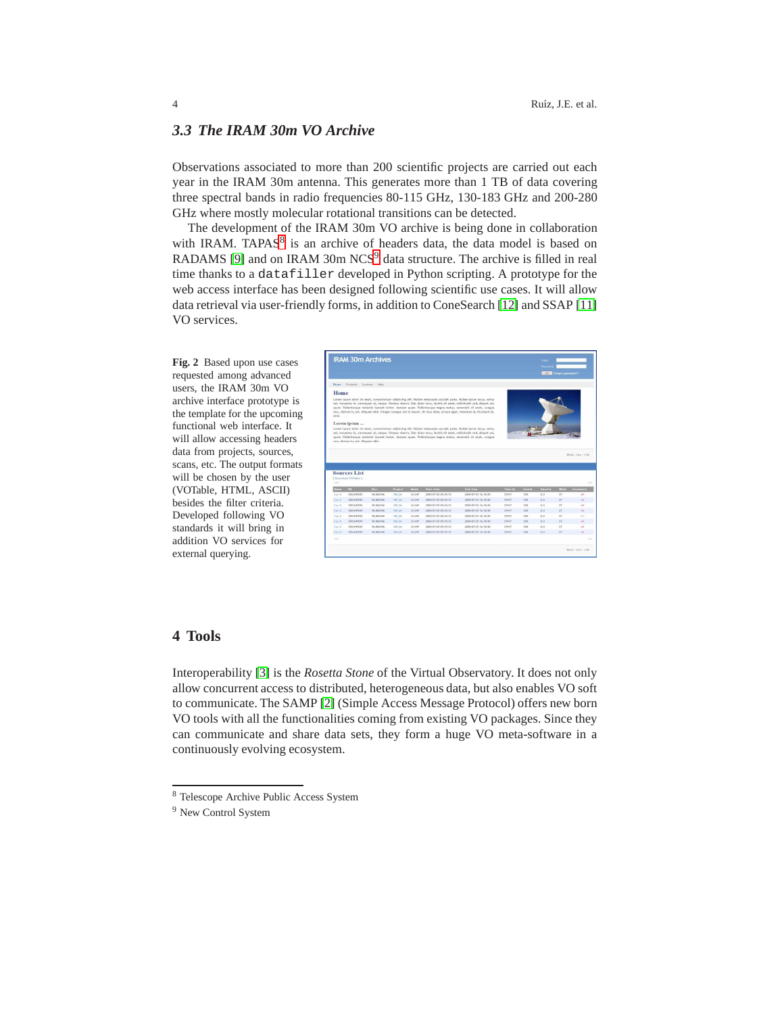### *3.3 The IRAM 30m VO Archive*

Observations associated to more than 200 scientific projects are carried out each year in the IRAM 30m antenna. This generates more than 1 TB of data covering three spectral bands in radio frequencies 80-115 GHz, 130-183 GHz and 200-280 GHz where mostly molecular rotational transitions can be detected.

The development of the IRAM 30m VO archive is being done in collaboration with IRAM. TAPAS<sup>[8](#page-3-0)</sup> is an archive of headers data, the data model is based on RADAMS [\[9\]](#page-5-4) and on IRAM 30m NCS<sup>[9](#page-3-1)</sup> data structure. The archive is filled in real time thanks to a datafiller developed in Python scripting. A prototype for the web access interface has been designed following scientific use cases. It will allow data retrieval via user-friendly forms, in addition to ConeSearch [\[12\]](#page-5-0) and SSAP [\[11\]](#page-5-7) VO services.

**Fig. 2** Based upon use cases requested among advanced users, the IRAM 30m VO archive interface prototype is the template for the upcoming functional web interface. It will allow accessing headers data from projects, sources, scans, etc. The output formats will be chosen by the user (VOTable, HTML, ASCII) besides the filter criteria. Developed following VO standards it will bring in addition VO services for external querying.

|                                                                      | <b>IRAM 30m Archives</b>                                                          |                   |                   |               |                                   |                                                                                                                                                                                                                                                                                                                                                                                                                                                                                                                                                                                                                                                                                                                                                                                                                                                                 |                   |               | Login<br>Password     | <b>COM</b> Forgot password? |                               |
|----------------------------------------------------------------------|-----------------------------------------------------------------------------------|-------------------|-------------------|---------------|-----------------------------------|-----------------------------------------------------------------------------------------------------------------------------------------------------------------------------------------------------------------------------------------------------------------------------------------------------------------------------------------------------------------------------------------------------------------------------------------------------------------------------------------------------------------------------------------------------------------------------------------------------------------------------------------------------------------------------------------------------------------------------------------------------------------------------------------------------------------------------------------------------------------|-------------------|---------------|-----------------------|-----------------------------|-------------------------------|
| <b>Home</b>                                                          | Projects Sources                                                                  | Help              |                   |               |                                   |                                                                                                                                                                                                                                                                                                                                                                                                                                                                                                                                                                                                                                                                                                                                                                                                                                                                 |                   |               |                       |                             |                               |
| Home<br>eros.                                                        | Lorem ipsum                                                                       |                   |                   |               |                                   | Lorem (psum dolor sit amet, consectetuer adipiscing elit. Nullam malesuada suscipit pede. Nullam ipsum lacus, varius<br>vel, nonumer in, consequat ut, neque. Vivanus viverra. Duis dolor arcu, lacinia sit amet, solicitudin sed, aliquet vel,<br>quan. Pellentesque molestie lapreet tortor. Aenean quam. Pellentesque magna metus, venenatis sit amet, conque<br>nec, dictum in, est. Allquam ribh, Integer congue nicl in mauris. Ut risus dam, ornare eget, interdum id, tincidunt at.<br>Lorem (psum dolor sit amet, consectetuer adipiscing elit. Nullam malesuada suscipit pede. Nullam ipsum lacus, varius<br>vel, nonumny in, consequat ut, neque. Vivanus viverra. Duis dolor arcu, lacinia sit amet, solicitudin sed, aliquet vel,<br>quan. Pellentesque molestie lapreet tortor. Aenean quam. Pellentesque magna metus, venenatis sit amet, conque |                   |               |                       |                             |                               |
|                                                                      | nec, dictum in, est. Aliquam nibh.<br><b>Sources List</b><br>I Download VOTable 1 |                   |                   |               |                                   |                                                                                                                                                                                                                                                                                                                                                                                                                                                                                                                                                                                                                                                                                                                                                                                                                                                                 |                   |               |                       |                             |                               |
| 1886                                                                 |                                                                                   |                   |                   |               |                                   |                                                                                                                                                                                                                                                                                                                                                                                                                                                                                                                                                                                                                                                                                                                                                                                                                                                                 |                   |               |                       |                             | <b>RAM - IAA - CSC</b><br>111 |
|                                                                      | <b>RA</b><br>350.049535                                                           | Dec.<br>50,006946 | Project<br>100 06 | Mode<br>OnOff | Start time<br>2000-07-25 05:55:13 | End time<br>2000-07-25 16:18:50                                                                                                                                                                                                                                                                                                                                                                                                                                                                                                                                                                                                                                                                                                                                                                                                                                 | Time (s)<br>37417 | Humid.<br>12% | <b>Opacity</b><br>0.2 | wind<br>27                  | Comments<br>$\bullet F$       |
|                                                                      | 350, 849535                                                                       | 58, 9069-66       | 190 06            | OnOff         | 2000-07-25 05:55:13               | 2000-07-25 16:18:50                                                                                                                                                                                                                                                                                                                                                                                                                                                                                                                                                                                                                                                                                                                                                                                                                                             | 27417             | 12%           | 0.2                   | 27                          | $\bullet F$                   |
|                                                                      | 350,849535                                                                        | SR ROOMS          | 180.06            | OnOff         | 2000/07/25 06:55:13               | 2000/07/25 16:18:50                                                                                                                                                                                                                                                                                                                                                                                                                                                                                                                                                                                                                                                                                                                                                                                                                                             | 37417             | 13%           | 0.2                   | $37\,$                      | $\mathcal{L}$                 |
|                                                                      | 350, 849535                                                                       | <b>SR ROVAN</b>   | 180.06            | OnOff         | 2000-07-25 05:55:13               | 2000/07/25 16:18:50                                                                                                                                                                                                                                                                                                                                                                                                                                                                                                                                                                                                                                                                                                                                                                                                                                             | 37417             | THE.          | p. 9                  | 37                          | $\mathbf{r}$                  |
|                                                                      | 350, 849535                                                                       | 58,806946         | 180.06            | OnOff         | 2000-07-25 05:55:13               | 2000-07-25 16:18:50                                                                                                                                                                                                                                                                                                                                                                                                                                                                                                                                                                                                                                                                                                                                                                                                                                             | 37417             | 13%           | 0.3                   | 37                          | $\mathcal{L}$                 |
|                                                                      | 350.849535                                                                        | 58, 806946        | 550.06            | OnOff         | 2000-07-25 05:55:13               | 2000-07-25 16:18:50                                                                                                                                                                                                                                                                                                                                                                                                                                                                                                                                                                                                                                                                                                                                                                                                                                             | 37417             | 12%           | 0.2                   | 37.                         | $\epsilon$                    |
| Name:<br>Cap A<br>Cac A<br>Cas A<br>Cas &<br>Car A<br>Cac A<br>Cac A | 350, 849535                                                                       | 50,006946         | 100 06            | OnOff         | 2000-07-25 05:55:12               | 2000-07-25 16:18:50                                                                                                                                                                                                                                                                                                                                                                                                                                                                                                                                                                                                                                                                                                                                                                                                                                             | 27417             | 12%           | 0.2                   | 27                          | $\bullet F$                   |
| Cac.A                                                                | 350,849525                                                                        | <b>58, 806946</b> | 590.06            | OnOff         | 2000-07-25 05:55:53               | 2000-07-25 16:18:50                                                                                                                                                                                                                                                                                                                                                                                                                                                                                                                                                                                                                                                                                                                                                                                                                                             | 37417             | 12%           | 0.2                   | 27                          | $\mathcal{A}$                 |

#### **4 Tools**

Interoperability [\[3\]](#page-5-8) is the *Rosetta Stone* of the Virtual Observatory. It does not only allow concurrent access to distributed, heterogeneous data, but also enables VO soft to communicate. The SAMP [\[2\]](#page-5-9) (Simple Access Message Protocol) offers new born VO tools with all the functionalities coming from existing VO packages. Since they can communicate and share data sets, they form a huge VO meta-software in a continuously evolving ecosystem.

<sup>8</sup> Telescope Archive Public Access System

<span id="page-3-1"></span><span id="page-3-0"></span><sup>&</sup>lt;sup>9</sup> New Control System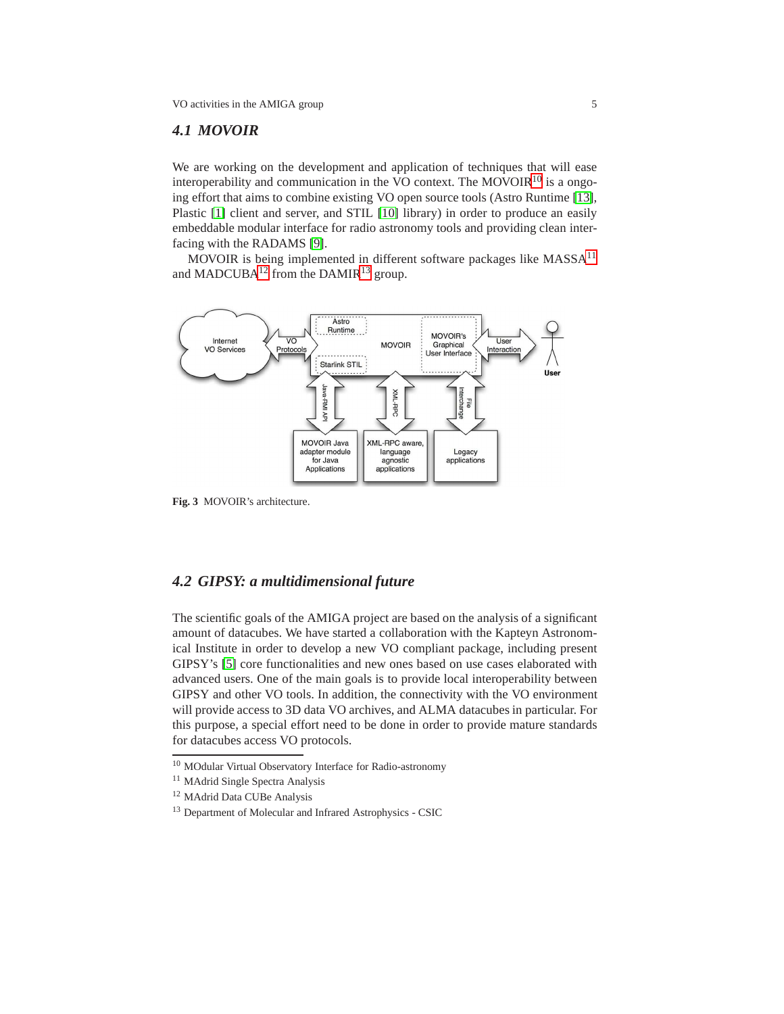#### *4.1 MOVOIR*

We are working on the development and application of techniques that will ease interoperability and communication in the VO context. The MOVOIR $^{10}$  $^{10}$  $^{10}$  is a ongoing effort that aims to combine existing VO open source tools (Astro Runtime [\[13\]](#page-5-10), Plastic [\[1\]](#page-5-11) client and server, and STIL [\[10\]](#page-5-2) library) in order to produce an easily embeddable modular interface for radio astronomy tools and providing clean interfacing with the RADAMS [\[9\]](#page-5-4).

MOVOIR is being implemented in different software packages like MASSA<sup>[11](#page-4-1)</sup> and MADCUBA $^{12}$  $^{12}$  $^{12}$  from the DAMIR $^{13}$  $^{13}$  $^{13}$  group.



**Fig. 3** MOVOIR's architecture.

## *4.2 GIPSY: a multidimensional future*

The scientific goals of the AMIGA project are based on the analysis of a significant amount of datacubes. We have started a collaboration with the Kapteyn Astronomical Institute in order to develop a new VO compliant package, including present GIPSY's [\[5\]](#page-5-12) core functionalities and new ones based on use cases elaborated with advanced users. One of the main goals is to provide local interoperability between GIPSY and other VO tools. In addition, the connectivity with the VO environment will provide access to 3D data VO archives, and ALMA datacubes in particular. For this purpose, a special effort need to be done in order to provide mature standards for datacubes access VO protocols.

<sup>10</sup> MOdular Virtual Observatory Interface for Radio-astronomy

<span id="page-4-0"></span><sup>&</sup>lt;sup>11</sup> MAdrid Single Spectra Analysis

<span id="page-4-1"></span><sup>12</sup> MAdrid Data CUBe Analysis

<span id="page-4-3"></span><span id="page-4-2"></span><sup>13</sup> Department of Molecular and Infrared Astrophysics - CSIC